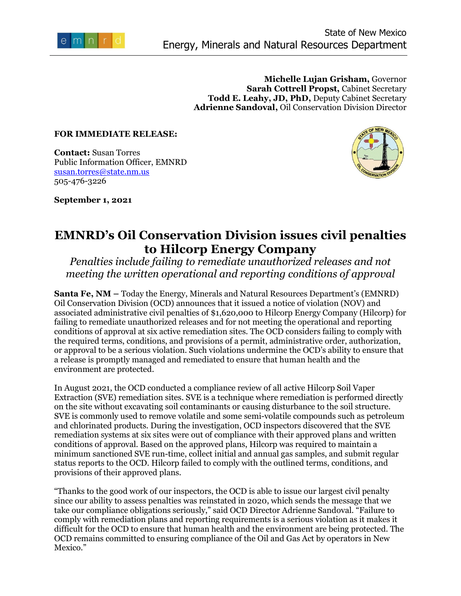

**Michelle Lujan Grisham,** Governor **Sarah Cottrell Propst,** Cabinet Secretary **Todd E. Leahy, JD, PhD,** Deputy Cabinet Secretary **Adrienne Sandoval,** Oil Conservation Division Director

## **FOR IMMEDIATE RELEASE:**

**Contact:** Susan Torres Public Information Officer, EMNRD [susan.torres@state.nm.us](mailto:susan.torres@state.nm.us) 505-476-3226

**September 1, 2021** 



## **EMNRD's Oil Conservation Division issues civil penalties to Hilcorp Energy Company**

*Penalties include failing to remediate unauthorized releases and not meeting the written operational and reporting conditions of approval*

**Santa Fe, NM –** Today the Energy, Minerals and Natural Resources Department's (EMNRD) Oil Conservation Division (OCD) announces that it issued a notice of violation (NOV) and associated administrative civil penalties of \$1,620,000 to Hilcorp Energy Company (Hilcorp) for failing to remediate unauthorized releases and for not meeting the operational and reporting conditions of approval at six active remediation sites. The OCD considers failing to comply with the required terms, conditions, and provisions of a permit, administrative order, authorization, or approval to be a serious violation. Such violations undermine the OCD's ability to ensure that a release is promptly managed and remediated to ensure that human health and the environment are protected.

In August 2021, the OCD conducted a compliance review of all active Hilcorp Soil Vaper Extraction (SVE) remediation sites. SVE is a technique where remediation is performed directly on the site without excavating soil contaminants or causing disturbance to the soil structure. SVE is commonly used to remove volatile and some semi-volatile compounds such as petroleum and chlorinated products. During the investigation, OCD inspectors discovered that the SVE remediation systems at six sites were out of compliance with their approved plans and written conditions of approval. Based on the approved plans, Hilcorp was required to maintain a minimum sanctioned SVE run-time, collect initial and annual gas samples, and submit regular status reports to the OCD. Hilcorp failed to comply with the outlined terms, conditions, and provisions of their approved plans.

"Thanks to the good work of our inspectors, the OCD is able to issue our largest civil penalty since our ability to assess penalties was reinstated in 2020, which sends the message that we take our compliance obligations seriously," said OCD Director Adrienne Sandoval. "Failure to comply with remediation plans and reporting requirements is a serious violation as it makes it difficult for the OCD to ensure that human health and the environment are being protected. The OCD remains committed to ensuring compliance of the Oil and Gas Act by operators in New Mexico."